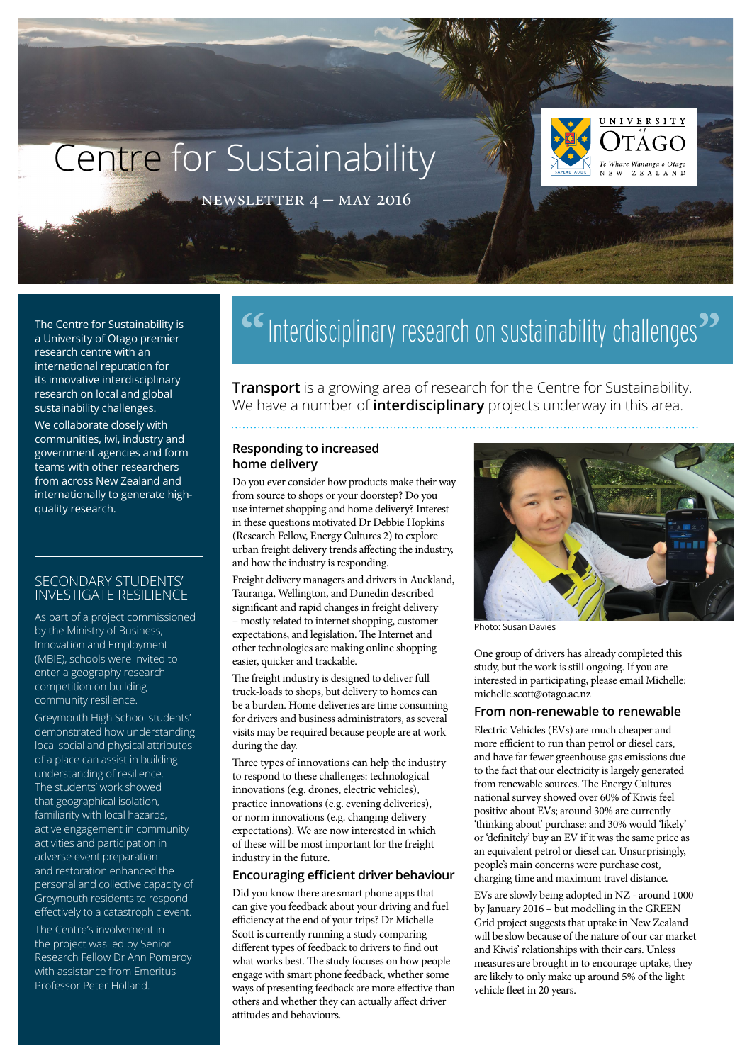# Centre for Sustainability



newsletter 4 – may 2016

a University of Otago premier research centre with an international reputation for its innovative interdisciplinary research on local and global sustainability challenges.

We collaborate closely with communities, iwi, industry and government agencies and form teams with other researchers from across New Zealand and internationally to generate highquality research.

### Secondary students' investigate resilience

As part of a project commissioned by the Ministry of Business, Innovation and Employment (MBIE), schools were invited to enter a geography research competition on building community resilience.

Greymouth High School students' demonstrated how understanding local social and physical attributes of a place can assist in building understanding of resilience. The students' work showed that geographical isolation, familiarity with local hazards, active engagement in community activities and participation in adverse event preparation and restoration enhanced the personal and collective capacity of Greymouth residents to respond effectively to a catastrophic event.

The Centre's involvement in the project was led by Senior Research Fellow Dr Ann Pomeroy with assistance from Emeritus Professor Peter Holland.

# The Centre for Sustainability is **SALLACE** Interdisciplinary research on sustainability challenges<sup>22</sup>

**Transport** is a growing area of research for the Centre for Sustainability. We have a number of **interdisciplinary** projects underway in this area.

### **Responding to increased home delivery**

Do you ever consider how products make their way from source to shops or your doorstep? Do you use internet shopping and home delivery? Interest in these questions motivated Dr Debbie Hopkins (Research Fellow, Energy Cultures 2) to explore urban freight delivery trends affecting the industry, and how the industry is responding.

Freight delivery managers and drivers in Auckland, Tauranga, Wellington, and Dunedin described significant and rapid changes in freight delivery – mostly related to internet shopping, customer expectations, and legislation. The Internet and other technologies are making online shopping easier, quicker and trackable.

The freight industry is designed to deliver full truck-loads to shops, but delivery to homes can be a burden. Home deliveries are time consuming for drivers and business administrators, as several visits may be required because people are at work during the day.

Three types of innovations can help the industry to respond to these challenges: technological innovations (e.g. drones, electric vehicles), practice innovations (e.g. evening deliveries), or norm innovations (e.g. changing delivery expectations). We are now interested in which of these will be most important for the freight industry in the future.

### **Encouraging efficient driver behaviour**

Did you know there are smart phone apps that can give you feedback about your driving and fuel efficiency at the end of your trips? Dr Michelle Scott is currently running a study comparing different types of feedback to drivers to find out what works best. The study focuses on how people engage with smart phone feedback, whether some ways of presenting feedback are more effective than others and whether they can actually affect driver attitudes and behaviours.



Photo: Susan Davies

One group of drivers has already completed this study, but the work is still ongoing. If you are interested in participating, please email Michelle: [michelle.scott@otago.ac.nz](mailto:michelle.scott%40otago.ac.nz?subject=)

#### **From non-renewable to renewable**

Electric Vehicles (EVs) are much cheaper and more efficient to run than petrol or diesel cars, and have far fewer greenhouse gas emissions due to the fact that our electricity is largely generated from renewable sources. The Energy Cultures national survey showed over 60% of Kiwis feel positive about EVs; around 30% are currently 'thinking about' purchase: and 30% would 'likely' or 'definitely' buy an EV if it was the same price as an equivalent petrol or diesel car. Unsurprisingly, people's main concerns were purchase cost, charging time and maximum travel distance.

EVs are slowly being adopted in NZ - around 1000 by January 2016 – but modelling in the GREEN Grid project suggests that uptake in New Zealand will be slow because of the nature of our car market and Kiwis' relationships with their cars. Unless measures are brought in to encourage uptake, they are likely to only make up around 5% of the light vehicle fleet in 20 years.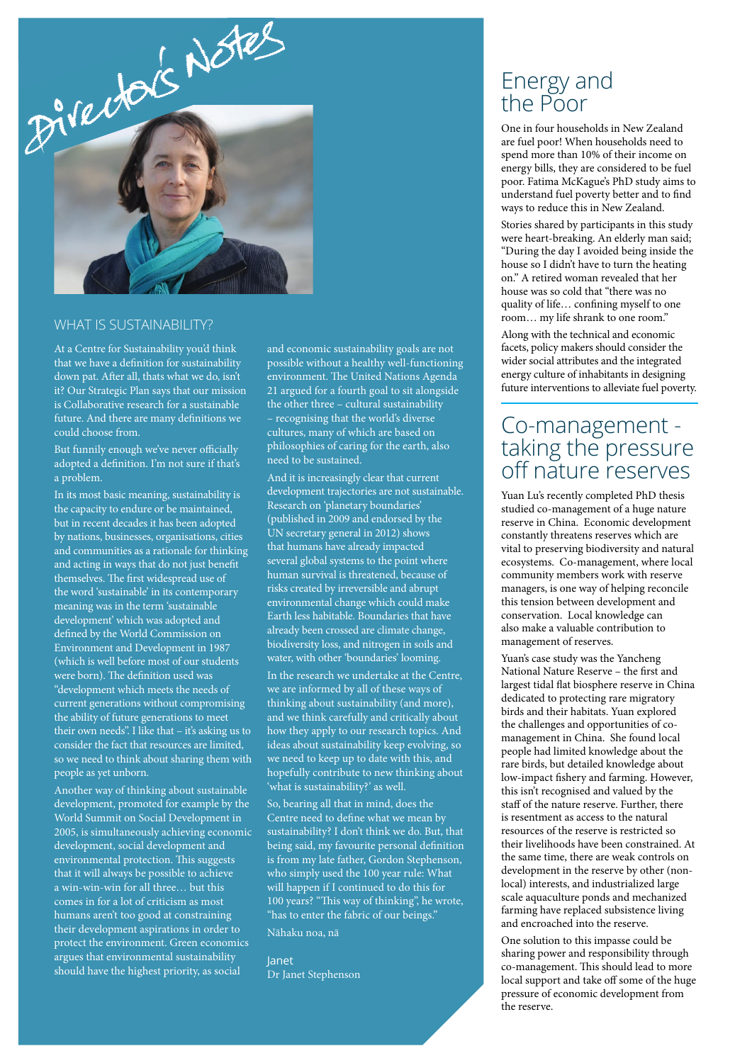

### WHAT IS SUSTAINABILITY?

At a Centre for Sustainability you'd think that we have a definition for sustainability down pat. After all, thats what we do, isn't it? Our Strategic Plan says that our mission is Collaborative research for a sustainable future. And there are many definitions we could choose from.

But funnily enough we've never officially adopted a definition. I'm not sure if that's a problem.

In its most basic meaning, sustainability is the capacity to endure or be maintained, but in recent decades it has been adopted by nations, businesses, organisations, cities and communities as a rationale for thinking and acting in ways that do not just benefit themselves. The first widespread use of the word 'sustainable' in its contemporary meaning was in the term 'sustainable development' which was adopted and defined by the World Commission on Environment and Development in 1987 (which is well before most of our students were born). The definition used was "development which meets the needs of current generations without compromising the ability of future generations to meet their own needs". I like that – it's asking us to consider the fact that resources are limited, so we need to think about sharing them with people as yet unborn.

Another way of thinking about sustainable development, promoted for example by the World Summit on Social Development in 2005, is simultaneously achieving economic development, social development and environmental protection. This suggests that it will always be possible to achieve a win-win-win for all three… but this comes in for a lot of criticism as most humans aren't too good at constraining their development aspirations in order to protect the environment. Green economics argues that environmental sustainability should have the highest priority, as social

and economic sustainability goals are not possible without a healthy well-functioning environment. The United Nations Agenda 21 argued for a fourth goal to sit alongside the other three – cultural sustainability – recognising that the world's diverse cultures, many of which are based on philosophies of caring for the earth, also need to be sustained.

And it is increasingly clear that current development trajectories are not sustainable. Research on 'planetary boundaries' (published in 2009 and endorsed by the UN secretary general in 2012) shows that humans have already impacted several global systems to the point where human survival is threatened, because of risks created by irreversible and abrupt environmental change which could make Earth less habitable. Boundaries that have already been crossed are climate change, biodiversity loss, and nitrogen in soils and water, with other 'boundaries' looming.

In the research we undertake at the Centre, we are informed by all of these ways of thinking about sustainability (and more), and we think carefully and critically about how they apply to our research topics. And ideas about sustainability keep evolving, so we need to keep up to date with this, and hopefully contribute to new thinking about 'what is sustainability?' as well.

So, bearing all that in mind, does the Centre need to define what we mean by sustainability? I don't think we do. But, that being said, my favourite personal definition is from my late father, Gordon Stephenson, who simply used the 100 year rule: What will happen if I continued to do this for 100 years? "This way of thinking", he wrote, "has to enter the fabric of our beings." Nähaku noa, nä

Janet Dr Janet Stephenson

## Energy and the Poor

One in four households in New Zealand are fuel poor! When households need to spend more than 10% of their income on energy bills, they are considered to be fuel poor. Fatima McKague's PhD study aims to understand fuel poverty better and to find ways to reduce this in New Zealand. Stories shared by participants in this study

were heart-breaking. An elderly man said; "During the day I avoided being inside the house so I didn't have to turn the heating on." A retired woman revealed that her house was so cold that "there was no quality of life… confining myself to one room… my life shrank to one room."

Along with the technical and economic facets, policy makers should consider the wider social attributes and the integrated energy culture of inhabitants in designing future interventions to alleviate fuel poverty.

## Co-management taking the pressure off nature reserves

Yuan Lu's recently completed PhD thesis studied co-management of a huge nature reserve in China. Economic development constantly threatens reserves which are vital to preserving biodiversity and natural ecosystems. Co-management, where local community members work with reserve managers, is one way of helping reconcile this tension between development and conservation. Local knowledge can also make a valuable contribution to management of reserves.

Yuan's case study was the Yancheng National Nature Reserve – the first and largest tidal flat biosphere reserve in China dedicated to protecting rare migratory birds and their habitats. Yuan explored the challenges and opportunities of comanagement in China. She found local people had limited knowledge about the rare birds, but detailed knowledge about low-impact fishery and farming. However, this isn't recognised and valued by the staff of the nature reserve. Further, there is resentment as access to the natural resources of the reserve is restricted so their livelihoods have been constrained. At the same time, there are weak controls on development in the reserve by other (nonlocal) interests, and industrialized large scale aquaculture ponds and mechanized farming have replaced subsistence living and encroached into the reserve.

One solution to this impasse could be sharing power and responsibility through co-management. This should lead to more local support and take off some of the huge pressure of economic development from the reserve.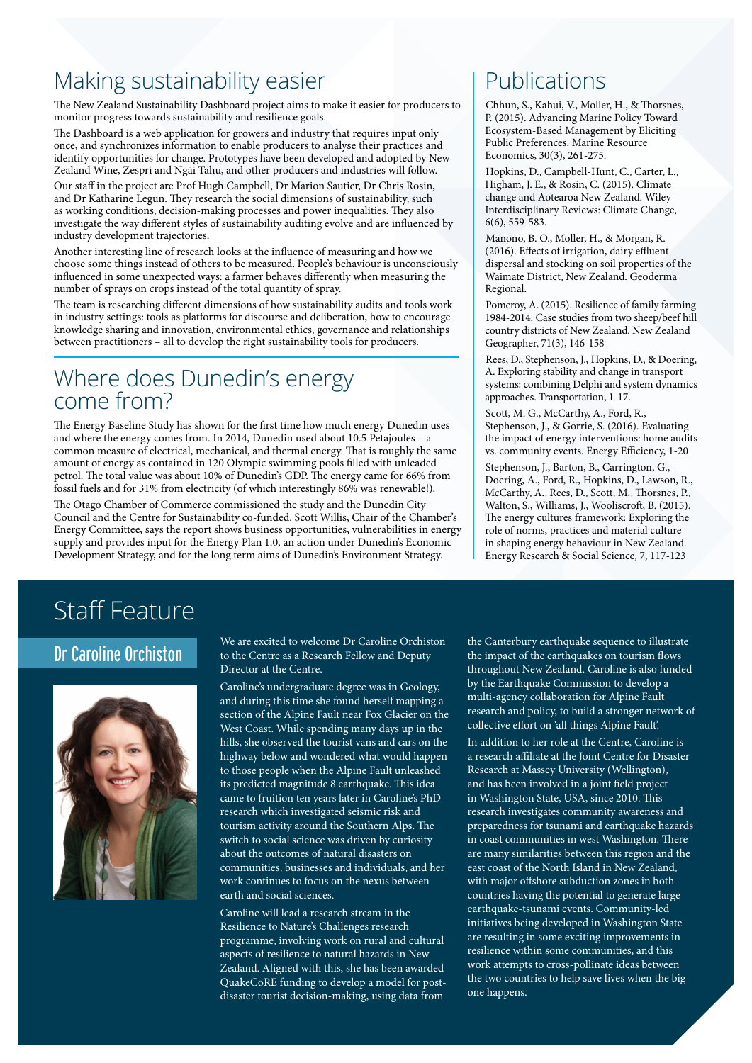## Making sustainability easier

The New Zealand Sustainability Dashboard project aims to make it easier for producers to monitor progress towards sustainability and resilience goals.

The Dashboard is a web application for growers and industry that requires input only once, and synchronizes information to enable producers to analyse their practices and identify opportunities for change. Prototypes have been developed and adopted by New Zealand Wine, Zespri and Ngāi Tahu, and other producers and industries will follow.

Our staff in the project are Prof Hugh Campbell, Dr Marion Sautier, Dr Chris Rosin, and Dr Katharine Legun. They research the social dimensions of sustainability, such as working conditions, decision-making processes and power inequalities. They also investigate the way different styles of sustainability auditing evolve and are influenced by industry development trajectories.

Another interesting line of research looks at the influence of measuring and how we choose some things instead of others to be measured. People's behaviour is unconsciously influenced in some unexpected ways: a farmer behaves differently when measuring the number of sprays on crops instead of the total quantity of spray.

The team is researching different dimensions of how sustainability audits and tools work in industry settings: tools as platforms for discourse and deliberation, how to encourage knowledge sharing and innovation, environmental ethics, governance and relationships between practitioners – all to develop the right sustainability tools for producers.

# Where does Dunedin's energy<br>come from?

The Energy Baseline Study has shown for the first time how much energy Dunedin uses and where the energy comes from. In 2014, Dunedin used about 10.5 Petajoules – a common measure of electrical, mechanical, and thermal energy. That is roughly the same amount of energy as contained in 120 Olympic swimming pools filled with unleaded petrol. The total value was about 10% of Dunedin's GDP. The energy came for 66% from fossil fuels and for 31% from electricity (of which interestingly 86% was renewable!).

The Otago Chamber of Commerce commissioned the study and the Dunedin City Council and the Centre for Sustainability co-funded. Scott Willis, Chair of the Chamber's Energy Committee, says the report shows business opportunities, vulnerabilities in energy supply and provides input for the Energy Plan 1.0, an action under Dunedin's Economic Development Strategy, and for the long term aims of Dunedin's Environment Strategy.

# Publications

Chhun, S., Kahui, V., Moller, H., & Thorsnes, P. (2015). Advancing Marine Policy Toward Ecosystem-Based Management by Eliciting Public Preferences. Marine Resource Economics, 30(3), 261-275.

Hopkins, D., Campbell‐Hunt, C., Carter, L., Higham, J. E., & Rosin, C. (2015). Climate change and Aotearoa New Zealand. Wiley Interdisciplinary Reviews: Climate Change, 6(6), 559-583.

Manono, B. O., Moller, H., & Morgan, R. (2016). Effects of irrigation, dairy effluent dispersal and stocking on soil properties of the Waimate District, New Zealand. Geoderma Regional.

Pomeroy, A. (2015). Resilience of family farming 1984-2014: Case studies from two sheep/beef hill country districts of New Zealand. New Zealand Geographer, 71(3), 146-158

Rees, D., Stephenson, J., Hopkins, D., & Doering, A. Exploring stability and change in transport systems: combining Delphi and system dynamics approaches. Transportation, 1-17.

Scott, M. G., McCarthy, A., Ford, R., Stephenson, J., & Gorrie, S. (2016). Evaluating the impact of energy interventions: home audits vs. community events. Energy Efficiency, 1-20

Stephenson, J., Barton, B., Carrington, G., Doering, A., Ford, R., Hopkins, D., Lawson, R., McCarthy, A., Rees, D., Scott, M., Thorsnes, P., Walton, S., Williams, J., Wooliscroft, B. (2015). The energy cultures framework: Exploring the role of norms, practices and material culture in shaping energy behaviour in New Zealand. Energy Research & Social Science, 7, 117-123

# Staff Feature

## Dr Caroline Orchiston



We are excited to welcome Dr Caroline Orchiston to the Centre as a Research Fellow and Deputy Director at the Centre.

Caroline's undergraduate degree was in Geology, and during this time she found herself mapping a section of the Alpine Fault near Fox Glacier on the West Coast. While spending many days up in the hills, she observed the tourist vans and cars on the highway below and wondered what would happen to those people when the Alpine Fault unleashed its predicted magnitude 8 earthquake. This idea came to fruition ten years later in Caroline's PhD research which investigated seismic risk and tourism activity around the Southern Alps. The switch to social science was driven by curiosity about the outcomes of natural disasters on communities, businesses and individuals, and her work continues to focus on the nexus between earth and social sciences.

Caroline will lead a research stream in the Resilience to Nature's Challenges research programme, involving work on rural and cultural aspects of resilience to natural hazards in New Zealand. Aligned with this, she has been awarded QuakeCoRE funding to develop a model for postdisaster tourist decision-making, using data from

the Canterbury earthquake sequence to illustrate the impact of the earthquakes on tourism flows throughout New Zealand. Caroline is also funded by the Earthquake Commission to develop a multi-agency collaboration for Alpine Fault research and policy, to build a stronger network of collective effort on 'all things Alpine Fault'.

In addition to her role at the Centre, Caroline is a research affiliate at the Joint Centre for Disaster Research at Massey University (Wellington), and has been involved in a joint field project in Washington State, USA, since 2010. This research investigates community awareness and preparedness for tsunami and earthquake hazards in coast communities in west Washington. There are many similarities between this region and the east coast of the North Island in New Zealand, with major offshore subduction zones in both countries having the potential to generate large earthquake-tsunami events. Community-led initiatives being developed in Washington State are resulting in some exciting improvements in resilience within some communities, and this work attempts to cross-pollinate ideas between the two countries to help save lives when the big one happens.